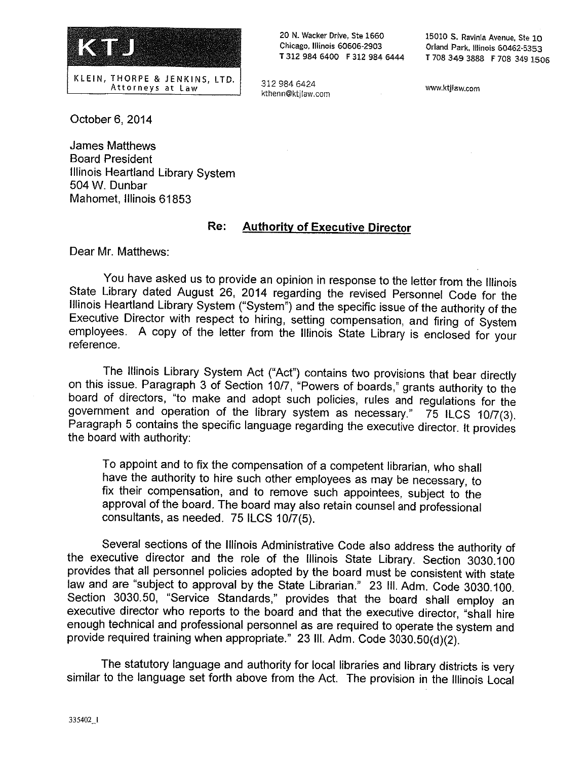

20 N. Wacker Drive, Ste 1660 Chicago, Illinois 60606-2903 T 3I2 984 6400 F 312 984 6444

312 984 6424 kthenn@ktjlaw.com 15010 S. Ravinia Avenue, Ste 10 Orland Park, Illinois 60462-5353 <sup>L</sup>70\$ 349 3888 F 708 349 <sup>1506</sup>

www.ktjfaw.com

October 6, 2014

James Matthews Board President Illinois Heartland Library System 504 W. Dunbar Mahomet, Illinois 61853

#### Re: **Authority of Executive Director**

Dear Mr. Matthews:

You have asked us to provide an opinion in response to the letter from the Illinois State Library dated August 26, 2014 regarding the revised Personnel Code for the Illinois Heartland Library System ("System") and the specific issue of the authority of the Executive Director with respect to hiring, setting compensation, and firing of System employees. A copy of the letter from the Illinois State Library is enclosed for your reference.

The Illinois Library System Act ("AcY') contains two provisions that bear directly on this issue. Paragraph 3 of Section 10/7, "Powers of boards," grants authority to the board of directors, "to make and adopt such policies, rules and regulations for the government and operation of the library system as necessary." 75 tLCS 10/7(3). Paragraph 5 contains the specific language regarding the executive director. It provides the board with authority:

To appoint and to fix the compensation of a competent librarian, who shall have the authority to hire such other employees as may be necessary, to fix their compensation, and to remove such appointees, subject to the approval of the board. The board may also retain counsel and professional consultants, as needed. 75 ILCS 10/7(5).

Several sections of the Iifinois Administrative Code also address the authority of the executive director and the role of the Illinois State Library. Section 3030.100 provides that all personnel policies adopted by the board must be consistent with state law and are "subject to approval by the State Librarian." 23 III. Adm. Code 3030.100. Section 3030.50, "Service Standards," provides that the board shall employ an executive director who reports to the board and that the executive director, "shall hire enough technical and professional personnel as are required to operate the system and provide required training when appropriate." 23 III. Adm. Code 3030.50(d)(2).

The statutory language and authority for local libraries and library districts is very similar to the language set forth above from the Act. The provision in the Illinois Local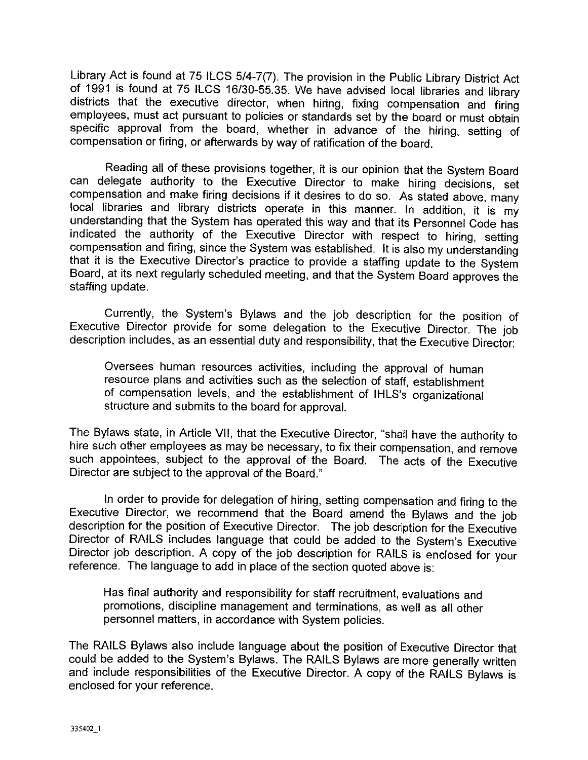Library Act is found at 75 ILCS 5/4-7(7). The provision in the Public Library District Act of 1991 is found at 75 ILCS 16/30-55.35. We have advised local libraries and library districts that the executive director, when hiring, fixing compensation and firing employees, must act pursuant to policies or standards set by the board or must obtain specific approval from the board, whether in advance of the hiring, setting of compensation or firing, or afterwards by way of ratification of the board.

Reading all of these provisions together, it is our opinion that the System Board can delegate authority to the Executive Director to make hiring decisions, set compensation and make firing decisions if it desires to do so. As stated above, many local libraries and library districts operate in this manner. In addition, it is my understanding that the System has operated this way and that its Personnel Code has indicated the authority of the Executive Director with respect to hiring, setting compensation and firing, since the System was established. It is also my understanding that it is the Executive Director's practice to provide a staffing update to the System Board, at its next regularly scheduled meeting, and that the System Board approves the staffing update.

Currently, the System's Bylaws and the job description for the position of Executive Director provide for some delegation to the Executive Director. The job description includes, as an essential duty and responsibility, that the Executive Director:

Oversees human resources activities, including the approval of human resource plans and activities such as the selection of staff, establishment of compensation levels, and the establishment of IHLS's organizational structure and submits to the board for approval.

The Bylaws state, in Article VII, that the Executive Director, "shall have the authority to hire such other employees as may be necessary, to fix their compensation, and remove such appointees, subject to the approval of the Board. The acts of the Executive Director are subject to the approval of the Board."

In order to provide for delegation of hiring, setting compensation and firing to the Executive Director, we recommend that the Board amend the Bylaws and the job description for the position of Executive Director. The job description for the Executive Director of RAILS includes language that could be added to the System's Executive Director job description. A copy of the job description for RAILS is enclosed for your reference. The language to add in place of the section quoted above is:

Has final authority and responsibility for staff recruitment, evaluations and promotions, discipline management and terminations, as well as all other personnel matters, in accordance with System policies.

The RAILS Bylaws also include language about the position of Executive Director that could be added to the System's Bylaws. The RAILS Bylaws are more generally written and include responsibilities of the Executive Director. A copy of the RAILS Bylaws is enclosed for your reference.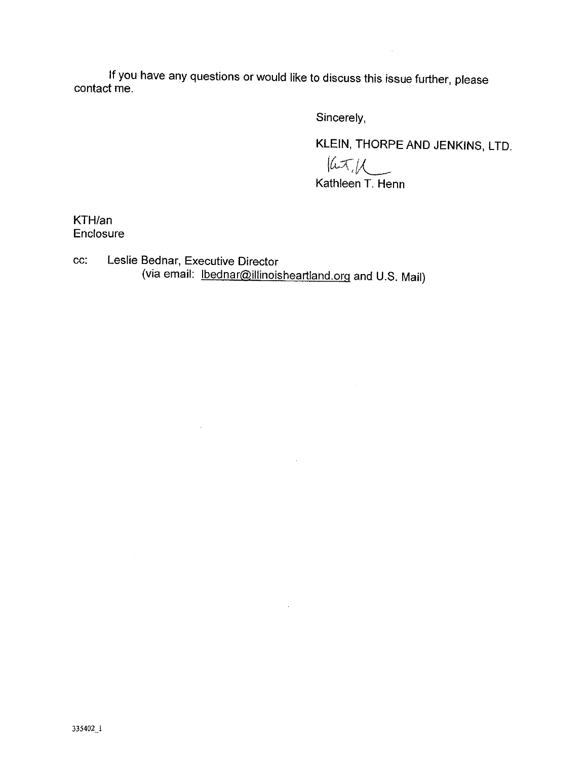If you have any questions or would like to discuss this issue further, please contact me.

Sincerely,

KLEIN, THORPE AND JENKINS, LTD.

 $\sim$ 

 $\frac{|\mu\sqrt{2}}{\mu}$ Kathleen T. Henn

 $\sim$ 

 $\sim 10^{-1}$ 

 $\sim 10^6$ 

KTH/an Enclosure

cc: Leslie Bednar, Executive Director (via email: <u>Ibednar@illinoisheartland.org</u> and U.S. Mail)

 $\sim 10^{-1}$ 

 $\sim$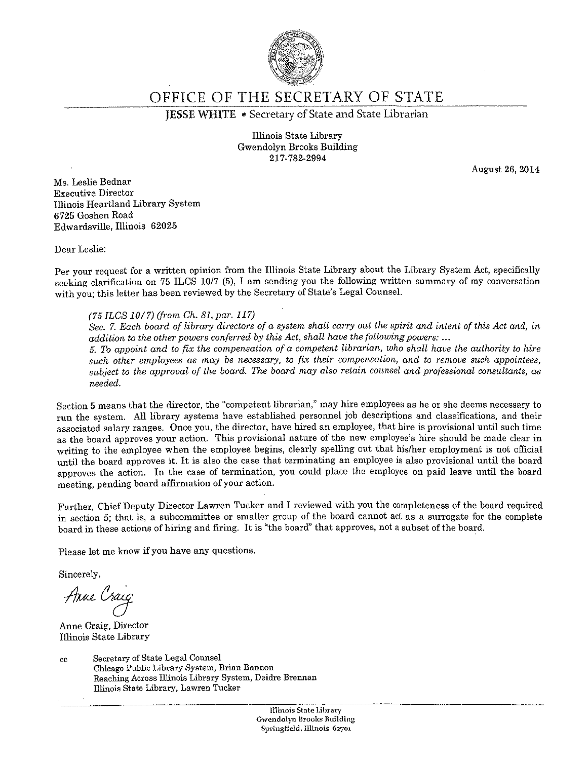

OFFICE OF THE SECRETARY OF STATE

JESSE WHITE • Secretary of State and State Librarian

Illinois State Library Gwendolyn Brooks Building 217-782-2994

August 26, 2014

Ms. Leslie Bednar Executive Director Illinois Heartland Library System 6725 Goshen Road Edwardsville, Illinois 62025

Dear Leslie:

Per your request for a written opinion from the Illinois State Library about the Library System Act, specifically seeking clarification on 75 ILCS 10/7 (5), I am sending you the following written summary of my conversation with you; this letter has been reviewed by the Secretary of State's Legal Counsel.

#### (957LCS 10/7) (from Ch. 81, par. 117)

Sec. 7. Each board of library directors of a system shall carry out the spirit and intent of this Act and, in addition to the other powers conferred by this Act, shall have the following powers:  $\ldots$ 5. To appoint and to fix the compensation of a competent librarian, who shall have the authority to hire

such other employees as may be necessary, to fix their compensation, and to remove such appointees, subject to the approval of the board. The board may also retain counsel and professional consultants, as needed.

Section 5 means that the director, the "competent librarian," may hire employees as he or she deems necessary to run the system. All library systems have established personnel job descriptions and classifications, and their associated salary ranges. Once you, the director, have hired an employee, that hire is provisional until such time as the board approves your action. This provisional nature of the new employee's hire should be made clear in writing to the employee when the employee begins, clearly spelling out that his/her employment is not official until the board approves it. It is also the case that terminating an employee is also provisional until the board approves the action. In the case of termination, you could place the employee on paid leave until the board meeting, pending board affirmation of your action.

Further, Chief Deputy Director Lawren Tucker and I reviewed with you the completeness of the board required in section 5; that is, a subcommittee or smaller group of the board cannot act as a surrogate for the complete board in these actions of hiring and firing. It is "the board" that approves, not a subset of the board.

Please let me know if you have any questions

Sincerely,

Anne Craig

Anne Craig, Director Illinois State Library

cc Secretary of State Legal Counsel Chicago Public Library System, Brian Bannon Reaching Across Illinois Library System, Deidre Brennan Illinois State Library, Lawren Tucker

> Illinois State Library Gwendolyn Brooks Building Springfield, Illinois 62701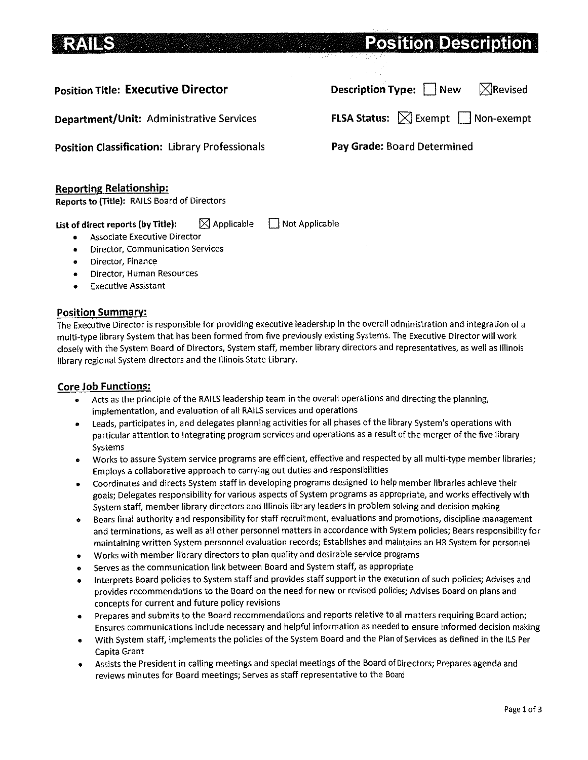# **Position Description**

## Position Title: Executive Director

Department/Unit: Administrative Services

Position Classification: library Professionals

#### Reporting Relationship:

Reports to (Title): RAILS Board of Directors

List of direct reports (by Title):  $\Box$  Applicable  $\Box$  Not Applicable

- Associate Executive Director
- Director, Communication Services  $\bullet$
- Director, Finance  $\bullet$
- Director, Human Resources
- e Executive Assistant

#### Position Summary:

The Executive Director is responsible for providing executive leadership in the overall administration and integration of a multi-type library System that has been formed from five previously existing Systems. The Executive Director will work closely with the System Board of Directors, System staff, member library directors and representatives, as well as Illinois library regional System directors and the Illinois State Library.

## Core Job Functions:

- Acts as the principle of the RAILS leadership team in the overall operations and directing the planning,  $\bullet$ implementation, and evaluation of all RAILS services and operations
- Leads, participates in, and delegates planning activities for all phases of the library System's operations with  $\bullet$ particular attention to integrating program services and operations as a result of the merger of the five library Systems
- Works to assure System service programs are efficient, effective and respected by all multi-type member libraries;  $\bullet$ Employs a collaborative approach to carrying out duties and responsibilities
- Coordinates and directs System staff in developing programs designed to help member libraries achieve their  $\bullet$ goals; Delegates responsibility for various aspects of System programs as appropriate, and works effectively with System staff, member library directors and Illinois library leaders in problem solving and decision making
- s Bears final authority and responsibility for staff recruitment, evaluations and promotions, discipline management and terminations, as well as all other personnel matters in accordance with System policies; Bears responsibility for maintaining written System personnel evaluation records; Establishes and maintains an HR System for personnel
- Works with member library directors to plan quality and desirable service programs  $\bullet$
- Serves as the communication link between Board and System staff, as appropriate
- Interprets Board policies to System staff and provides staff support in the execution of such policies; Advises and provides recommendations to the Board on the need for new or revised policies; Advises Board on plans and concepts for current and future policy revisions
- e Prepares and submits to the Board recommendations and reports relative to all matters requiring Board action; Ensures communications include necessary and helpful information as needed to ensure informed decision making
- With System staff, implements the policies of the System Board and the Plan of Services as defined in the ILS Per Capita Grant
- Assists the President in calling meetings and special meetings of the Board of Directors; Prepares agenda and reviews minutes for Board meetings; Serves as staff representative to the Board

Description Type: New  $\mathbb{X}$ Revised

FLSA Status:  $\boxtimes$  Exempt  $\Box$  Non-exempt

Pay Grade: Board Determined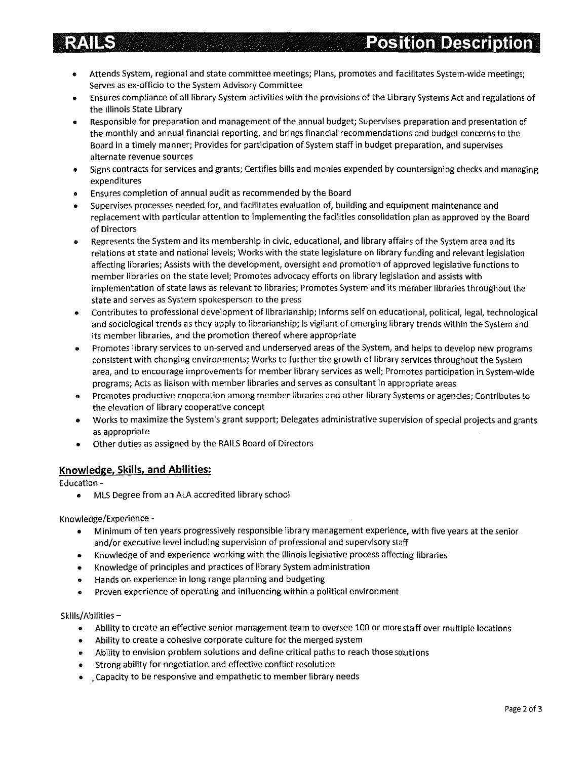- Attends System, regional and state committee meetings; Plans, promotes and facilitates System-wide meetings; Serves as ex-officio to the System Advisory Committee
- Ensures compliance of all library System activities with the provisions of the Library Systems Act and regulations of the Illinois State Library
- Responsible for preparation and management of the annual budget; Supervises preparation and presentation of  $\bullet$ the monthly and annual financial reporting, and brings financial recommendations and budget concerns to the Board in a timely manner; Provides for participation of System staff in budget preparation, and supervises alternate revenue sources
- Signs contracts for services and grants; Certifies bills and monies expended by countersigning checks and managing expenditures
- Ensures completion of annual audit as recommended by the Board
- Supervises processes needed for, and facilitates evaluation of, building and equipment maintenance and replacement with particular attention to implementing the facilities consolidation plan as approved by the Board of Directors
- Represents the System and its membership in civic, educational, and library affairs of the System area and its relations at state and national levels; Works with the state legislature on library funding and relevant legislation affecting libraries; Assists with the development, oversight and promotion of approved legislative functions to member libraries on the state level; Promotes advocacy efforts on library legislation and assists with implementation of state laws as relevant to libraries; Promotes System and its member libraries throughout the state and serves as System spokesperson to the press
- Contributes to professional development of librarianship; Informs self on educational, political, legal, technological  $\bullet$ and sociological trends as they apply to librarianship; Is vigilant of emerging library trends within the System and its member libraries, and the promotion thereof where appropriate
- Promotes library services to un-served and underserved areas of the System, and helps to develop new programs  $\bullet$ consistent with changing environments; Works to further the growth of library services throughout the System area, and to encourage improvements for member library services as well; Promotes participation in System-wide programs; Acts as liaison with member libraries and serves as consultant in appropriate areas
- Promotes productive cooperation among member libraries and other library Systems or agencies; Contributes to the elevation of library cooperative concept
- Works to maximize the System's grant support; Delegates administrative supervision of special projects and grants as appropriate
- Other duties as assigned by the RAILS Board of Directors

#### Knowledge, Skills, and Abilities:

Education -

MLS Degree from an ALA accredited library school

Knowledge/Experience -

- e Minimum often years progressively responsible library management experience, with five years at the senior and/or executive level including supervision of professional and supervisory staff
- Knowledge of and experience working with the Illinois legislative process affecting libraries
- e Knowledge of principles and practices of library System administration
- Hands on experience in long range planning and budgeting  $\bullet$
- Proven experience of operating and influencing within a political environment  $\bullet$

#### Skills/Abilities —

- Ability to create an effective senior management team to oversee 100 or more staff over multiple locations
- Ability to create a cohesive corporate culture for the merged system  $\bullet$
- Ability to envision problem solutions and define critical paths to reach those solutipns  $\bullet$
- Strong ability for negotiation and effective conflict resolution
- $\epsilon$  Capacity to be responsive and empathetic to member library needs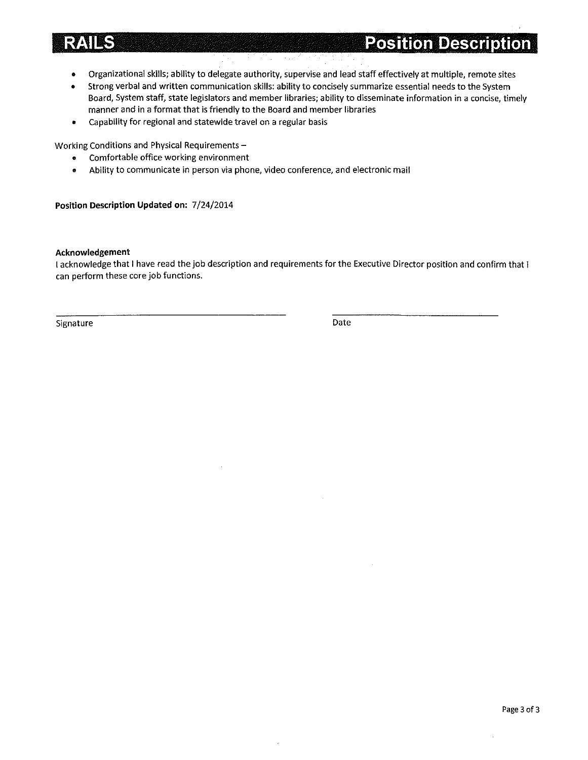# **RAILS**

**Position Description** 

- Organizational skills; ability to delegate authority, supervise and lead staff effectively at multiple, remote sites  $\bullet$
- Strong verbal and written communication skills: ability to concisely summarize essential needs to the System  $\bullet$ Board, System staff, state legislators and member libraries; ability to disseminate information in a concise, timely manner and in a format that is friendly to the Board and member libraries
- Capability for regional and statewide travel on a regular basis  $\bullet$

Working Conditions and Physical Requirements—

- Comfortable office working environment
- Ability to communicate in person via phone, video conference, and electronic mail  $\bullet$

#### Position Description Updated on: 7/24/2014

#### Acknowledgement

1 acknowledge that I have read the job description and requirements for the Executive Director position and confirm that can perform these core job functions.

Signature Date Date Communications of the Date Date Date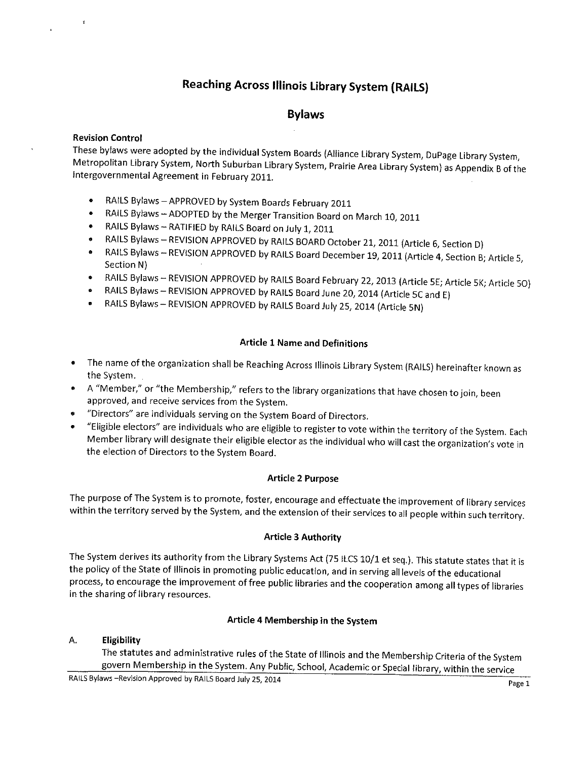# Reaching Across Illinois Library System (RAILS)

## Bylaws

## Revision Control

These bylaws were adopted by the individual System Boards (Alliance Library System, DuPage Library System,<br>Metropolitan Library System, North Suburban Library System, Prairie Area Library System) as Appendix B of the<br>Inter

- RAILS Bylaws—APPROVED by System Boards February <sup>2011</sup>
- RAILS Bylaws —ADOPTED by the Merger Transition Board on March 10, <sup>2011</sup>
- RAILS Bylaws—RATIFIED by RAILS Board on July 1, <sup>2011</sup>
- RAILS Bylaws—REVISION APPROVED by RAILS BOARD October 21, 2011 (Article 6, Section D)
- RAILS Bylaws REVISION APPROVED by RAILS Board December 19, 2011 (Article 4, Section B; Article 5, Section N)
- RAILS Bylaws— REVISION APPROVED by RAILS Board February 2Z, 2013 (Article SE; Article SK; Article 50)
- RAILS Bylaws —REVISION APPROVED by RAILS Board June 20, 2014 (Article SC and E)
- RAILS Bylaws— REVISION APPROVED by RAILS Board July 25, 2014 (Article SN)

#### Article 1 Name and Definitions

- The name of the organization shall be Reaching Across Illinois Library System (RAILS) hereinafter known as the System.
- A "Member;' or "the Membership," refers to the library organizations that have chosen to join, been approved, and receive services from the System.
- "Directors' are individuals serving on the System Board of Directors.
- "Eligible electors" are individuals who are eligible to register to vote within the territory of the System. Each Member library will designate their eligible elector as the individual who will cast the organization's vote in the election of Directors to the System Board.

#### Article 2 Purpose

The purpose of The System is to promote, foster, encourage and effectuate the improvement of library services within the territory served by the System, and the extension of their services to all people within such territory.

#### Article 3 Authority

The System derives its authority from the Library Systems Act (75 ILCS 10/1 et seq.). This statute states that it is the policy of the State of Illinois in promoting public education, and in serving all levels of the educational process, to encourage the improvement of free public libraries and the cooperation among all types of libraries in the sharing of library resources.

#### Article 4 Membership in the System

#### A. Eligibility

The statutes and administrative rules of the State of Illinois and the Membership Criteria of the System govern Membership in the System. Any Public, School, Academic or Special library, within the service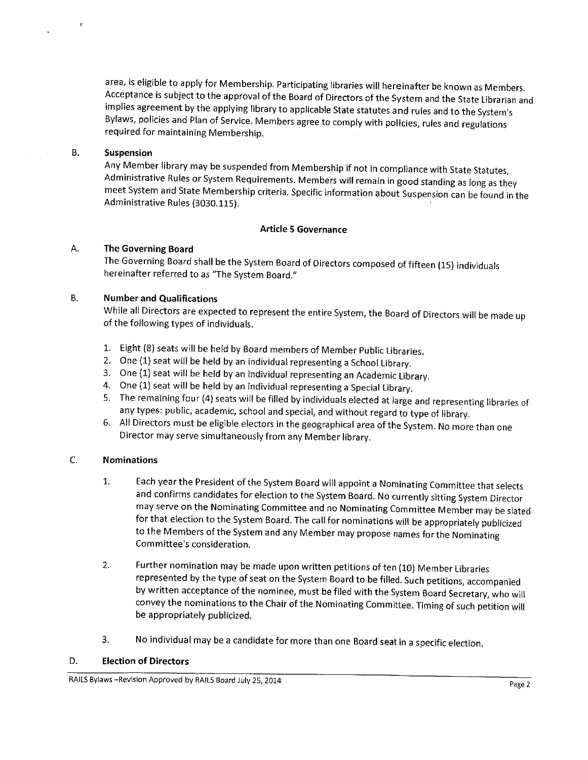area, is eligible to apply for Membership. Participating libraries will hereinafter be known as Members.<br>Acceptance is subject to the approval of the Board of Directors of the System and the State Librarian and implies agreement by the applying library to applicable State statutes and rules and to the System's Bylaws, policies and Plan of Service. Members agree to comply with policies, rules and regulations required for maintaining Membership.

#### B. Suspension

Any Member library may be suspended from Membership if not in compliance with State Statutes, Administrative Rules or System Requirements. Members will remain in good standing as long as they meet System and State Membership criteria. Specific information about Suspension can be found in the Administrative Rules (3030.115).

#### Article 5 Governance

#### A. The Governing Board

The Governing Board shall be the System Board of Directors composed of fifteen (15) individuals hereinafter referred to as 'The System Board."

#### B. Number and Qualifications

While all Directors are expected to represent the entire System, the Board of Directors will be made up of the following types of individuals.

- 1. Eight (8) seats will be held by Board members of Member Public libraries.
- 2. One (1) seat will be held by an individual representing a School Library.
- 3. One (1) seat will be held by an individual representing an Academic Library.
- 4. One (1) seat will be held by an individual representing a Special Library.
- 5. The remaining four (4) seats will be filled by individuals elected at large and representing Ilbraries of any types: public, academic, school and special, and without regard to type of library.
- 6. All Directors must be eligible electors in the geographical area of the System. No more than one Director may serve simultaneously from any Member library.

#### C. Nominations

- 1. Each year the President of the System Board will appoint a Nominating Committee that selects and confirms candidates for election to the System Board. No currently sitting System Director may serve on the Nominating Committee and no Nominating Committee Member may be slated for that election to the System Board. The call for nominations will be appropriately publicized to the Members of the System and any Member may propose names for the Nominating Committee's consideration.
- 2. Further nomination may be made upon written petitions of ten (10) Member Libraries represented by the type of seat on the System Board to be filled. Such petitions, accompanied by written acceptance of the nominee, must be filed with the System Board Secretary, who will convey the nominations to the Chair of the Nominating Committee. Timing of such petition will be appropriately publicized.
- 3. No individual may be a candidate for more than one Board seat in a specific election.

#### D. Election of Directors

RAILS Bylaws –Revision Approved by RAILS Board July 25, 2014 Page 2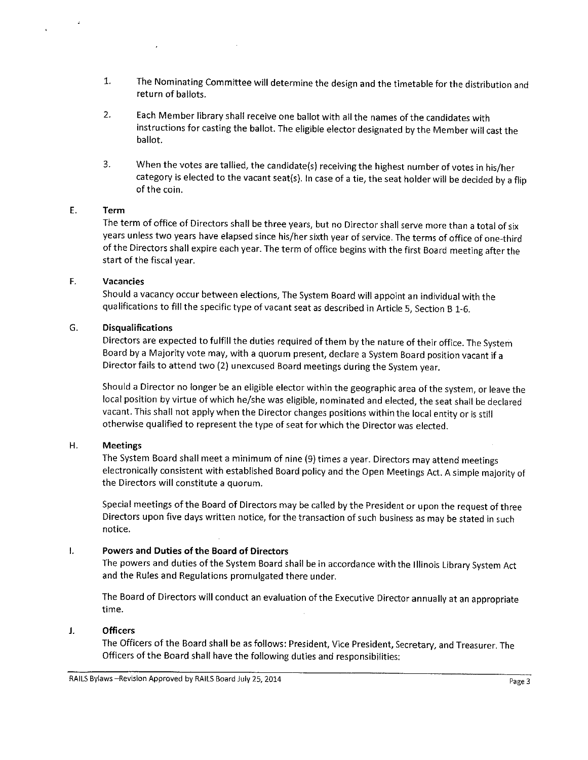- 1. The Nominating Committee will determine the design and the timetable for the distribution and return of ballots.
- 2. Each Member library shall receive one ballot with ail the names of the candidates with instructions for casting the ballot. The eligible elector designated by the Member will cast the ballot.
- 3. When the votes are tallied, the candidate(s) receiving the highest number of votes in his/her category is elected to the vacant seat(s). Incase of a tie, the seat holder will be decided by a flip of the coin.

#### E. Term

The term of office of Directors shall be three years, but no Director shall serve more than a total of six years unless two years have elapsed since his/her sixth year of service. The terms of office of one-third of the Directors shall expire each year. The term of office begins with the first Board meeting after the start of the fiscal year.

#### F. Vacancies

Should a vacancy occur between elections, The System Board will appoint an individual with the qualifications to fill the specific type of vacant seat as described in Article 5, Section B 1-6.

#### G. Disqualifications

Directors are expected to fulfill the duties required of them by the nature of their office. The System Board by a Majority vote may, with a quorum present, declare a System Board position vacant if a Director fails to attend two (2) unexcused Board meetings during the System year.

Should a Director no longer be an eligible elector within the geographic area of the system, or leave the local position by virtue of which he/she was eligible, nominated and elected, the seat shall be declared vacant. This shall not apply when the Director changes positions within the local entity or is still otherwise qualified to represent the type of seat for which the Director was elected.

#### Η. Meetings

The System Board shall meet a minimum of nine (9) times a year. Directors may attend meetings electronically consistent with established Board policy and the Open Meetings Act. A simple majority of the Directors will constitute a quorum.

Special meetings of the Board of Directors may be called by the President or upon the request of three Directors upon five days written notice, for the transaction of such business as may be stated in such notice.

#### Powers and Duties of the Board of Directors I.

The powers and duties of the System Board shall be in accordance with the Illinois Library System Act and the Rules and Regulations promulgated there under.

The Board of Directors will conduct an evaluation of the Executive Director annually at an appropriate time.

#### J. **Officers**

The Officers of the Board shall be as follows: President, Vice President, Secretary, and Treasurer. The Officers of the Board shall have the following duties and responsibilities: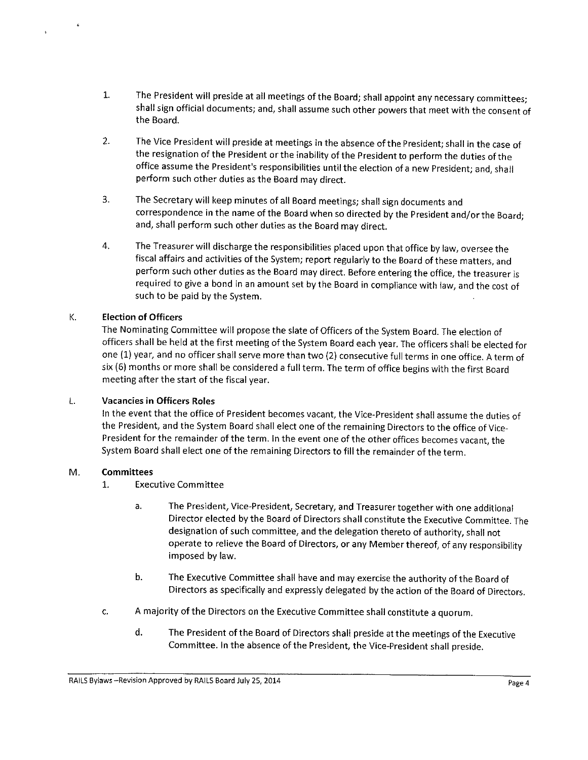- 1. The President will preside at all meetings of the Board; shall appoint any necessary committees; shall sign official documents; and, shall assume such other powers that meet with the consent of the Board.
- 2. The Vice President will preside at meetings in the absence of the President; shall in the case of the resignation of the President or the inability of the President to perform the duties of the office assume the President's responsibilities until the election of a new President; and, shall perform such other duties as the Board may direct.
- 3. The Secretary will keep minutes of all Board meetings; shall sign documents and correspondence in the name of the Board when so directed by the President and/orthe Board; and, shall perform such other duties as the Board may direct.
- 4. The Treasurer will discharge the responsibilities placed upon that office bylaw, oversee the fiscal affairs and activities of the System; report regularly to the Board of these matters, and perform such other duties as the Board may direct. Before entering the office, the treasurer is required to give a bond in an amount set by the Board in compliance with law, and the cost of such to be paid by the System.

## K. Election of Officers

The Nominating Committee will propose the slate of Officers of the System Board. The election of officers shall be held at the first meeting of the System Board each year. The officers shall be elected for one (1) year, and no officer shall serve more than two (2) consecutive full terms in one office. A term of six (6) months or more shall be considered a full term. The term of office begins with the first Board meeting after the start of the fiscal year.

#### L. Vacancies in Officers Roles

In the event that the office of President becomes vacant, the Vice-President shall assume the duties of the President, and the System Board shall elect one of the remaining Directors to the office of Vice-President for the remainder of the term. In the event one of the other offices becomes vacant, the System Board shall elect one of the remaining Directors to fill the remainder of the term.

#### M. Committees

- 1. Executive Committee
	- a. The President, Vice-President, Secretary, and Treasurer together with one additional Director elected by the Board of Directors shall constikute the Executive Committee. The designation of such committee, and the delegation thereto of authority, shall not operate to relieve the Board of Directors, or any Member thereof, of any responsibility imposed by law.
	- b. The Executive Committee shall have and may exercise the authority of the Board of Directors as specifically and expressly delegated by the action of the Board of Directors.
- c. A majority of the Directors on the Executive Committee shall constitute a quorum.
	- d. The President of the Board of Directors shall preside at the meetings of the Executive Committee. In the absence of the President, the Vice-President shall preside.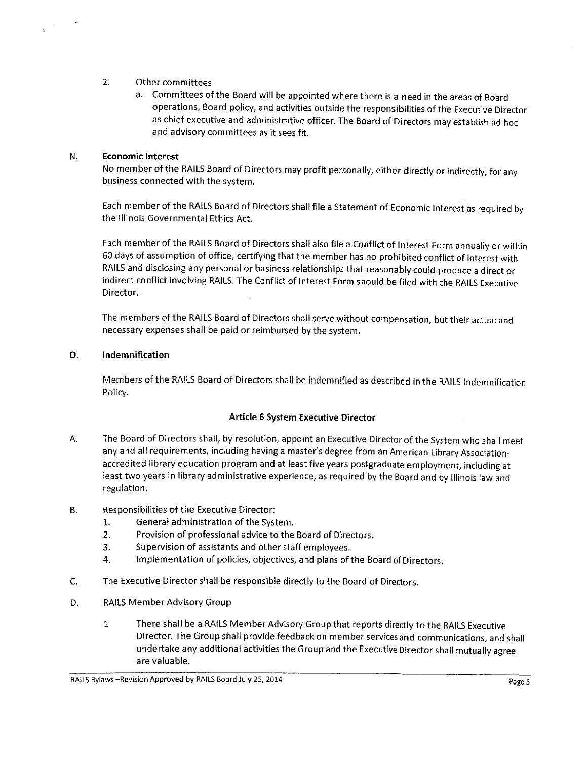#### 2. Other committees

a. Committees of the Board will be appointed where there is a need in the areas of Board operations, Board policy, and activities outside the responsibilities of the Executive Director as chief executive and administrative officer. The Board of Directors may establish ad hoc and advisory committees as it sees fit.

#### N. Economic Interest

No member of the RAILS Board of Directors may profit personally, either directly or indirectly, for any business connected with the system.

Each member of the RAILS Board of Directors shall file a Statement of Economic Interest as required by the Illinois Governmental Ethics Act.

Each member of the RAILS Board of Directors shall also file a Conflict of Interest Form annually or within 60 days of assumption of office, certifying that the member has no prohibited conflict of interest with RAILS and disclosing any personal or business relationships that reasonably could produce a direct or indirect conflict involving RAILS. The Conflict of Interest Form should be filed with the RAILS Executive Director.

The members of the RAILS Board of Directors shall serve without compensation, but their actual and necessary expenses shall be paid or reimbursed by the system.

#### O. Indemnification

Members of the RAILS Board of Directors shall be indemnified as described in the RAILS Indemnification Policy.

#### Article 6 System Executive Director

- A. The Board of Directors shall, by resolution, appoint an Executive Director of the System who shall meet any and all requirements, including having a master's degree from an American Library Associationaccredited library education program and at least five years postgraduate employment, including at least two years in library administrative experience, as required by the Board and by Illinois law and regulation.
- B. Responsibilities of the Executive Director:
	- 1. General administration of the System.
	- 2. Provision of professional advice to the Board of Directors.
	- 3. Supervision of assistants and other staff employees.
	- 4. Implementation of policies, objectives, and plans of the Board of Directors.
- C. The Executive Director shall be responsible directly to the Board of Directors.
- D. RAILS Member Advisory Group
	- There shall be a RAILS Member Advisory Group that reports directly to the RAILS Executive  $\mathbf{1}$ Director. The Group shall provide feedback on member services and communications, and shall undertake any additional activities the Group and the Executive Director shall mutually agree are valuable.

RAILS Bylaws –Revision Approved by RAILS Board July 25, 2014 **Page 5** Page 5